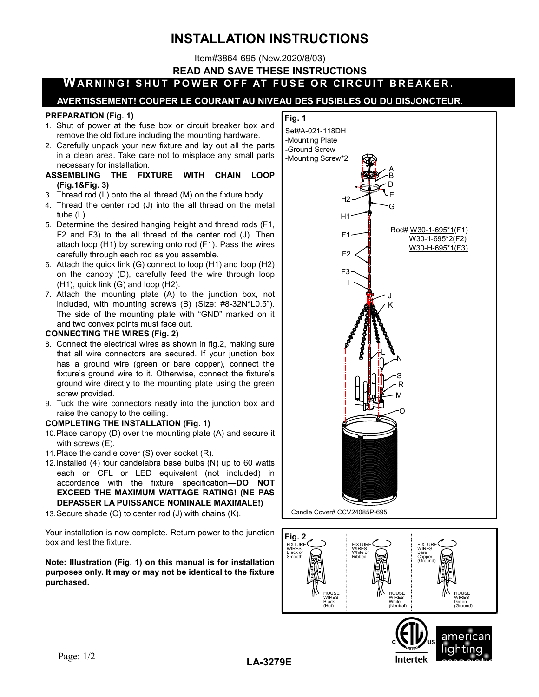# INSTALLATION INSTRUCTIONS

Item#3864-695 (New.2020/8/03)

READ AND SAVE THESE INSTRUCTIONS

## WARNING! SHUT POWER OFF AT FUSE OR CIRCUIT BREAKER.

### AVERTISSEMENT! COUPER LE COURANT AU NIVEAU DES FUSIBLES OU DU DISJONCTEUR.

#### PREPARATION (Fig. 1)

- 1. Shut of power at the fuse box or circuit breaker box and remove the old fixture including the mounting hardware.
- 2. Carefully unpack your new fixture and lay out all the parts in a clean area. Take care not to misplace any small parts necessary for installation.
- ASSEMBLING THE FIXTURE WITH CHAIN LOOP (Fig.1&Fig. 3)
- 3. Thread rod (L) onto the all thread (M) on the fixture body.
- 4. Thread the center rod (J) into the all thread on the metal tube (L).
- 5. Determine the desired hanging height and thread rods (F1, F2 and F3) to the all thread of the center rod (J). Then attach loop (H1) by screwing onto rod (F1). Pass the wires carefully through each rod as you assemble.
- 6. Attach the quick link (G) connect to loop (H1) and loop (H2) on the canopy (D), carefully feed the wire through loop (H1), quick link (G) and loop (H2).
- 7. Attach the mounting plate (A) to the junction box, not included, with mounting screws (B) (Size: #8-32N\*L0.5"). The side of the mounting plate with "GND" marked on it and two convex points must face out.

#### CONNECTING THE WIRES (Fig. 2)

- 8. Connect the electrical wires as shown in fig.2, making sure that all wire connectors are secured. If your junction box has a ground wire (green or bare copper), connect the fixture's ground wire to it. Otherwise, connect the fixture's ground wire directly to the mounting plate using the green screw provided.
- 9. Tuck the wire connectors neatly into the junction box and raise the canopy to the ceiling.

#### COMPLETING THE INSTALLATION (Fig. 1)

- 10. Place canopy (D) over the mounting plate (A) and secure it with screws (E).
- 11. Place the candle cover (S) over socket (R).
- 12. Installed (4) four candelabra base bulbs (N) up to 60 watts each or CFL or LED equivalent (not included) in accordance with the fixture specification—DO NOT EXCEED THE MAXIMUM WATTAGE RATING! (NE PAS DEPASSER LA PUISSANCE NOMINALE MAXIMALE!)
- 13. Secure shade (O) to center rod (J) with chains (K).

Your installation is now complete. Return power to the junction box and test the fixture.

#### Note: Illustration (Fig. 1) on this manual is for installation purposes only. It may or may not be identical to the fixture purchased.







LA-3279E